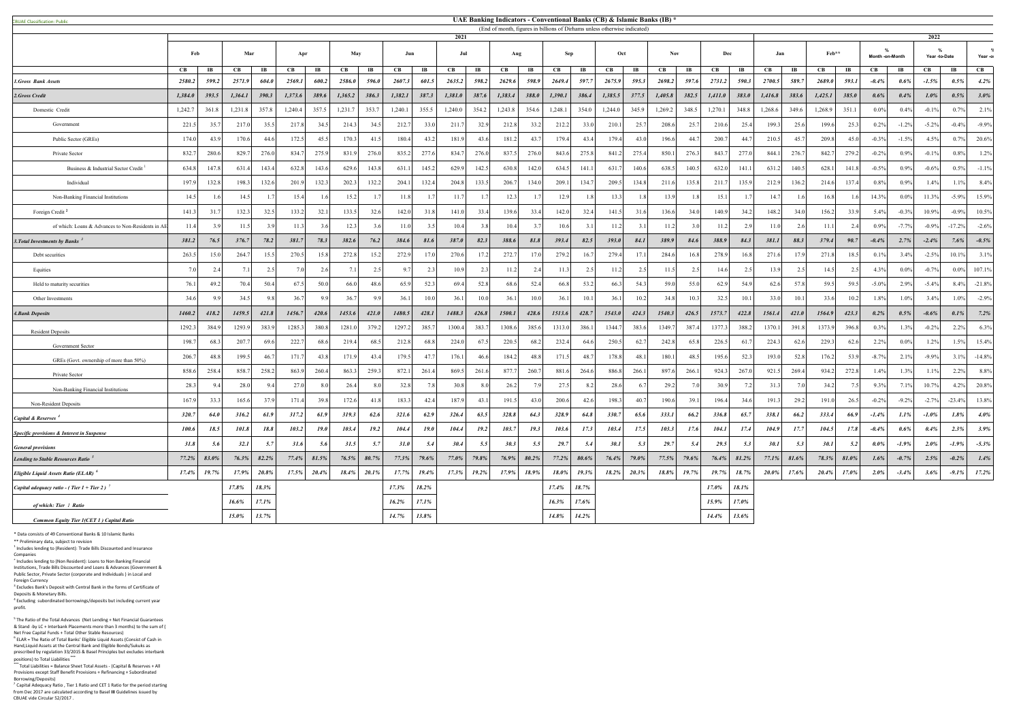Public Sector, Private Sector (corporate and Individuals ) in Local and Foreign Currency <sup>3</sup> Excludes Bank's Deposit with Central Bank in the forms of Certificate of

<sup>7</sup> Capital Adequacy Ratio, Tier 1 Ratio and CET 1 Ratio for the period starting from Dec 2017 are calculated according to Basel **III** Guidelines issued by CBUAE vide Circular 52/2017 .

| <b>BUAE Classification: Public</b>                      | UAE Banking Indicators - Conventional Banks (CB) & Islamic Banks (IB) * |       |          |       |         |       |             |                  |         |                |                                                                                   |                       |         |                       |         |       |         |                   |         |       |          |       |         |             |          |       |                 |          |                    |          |          |
|---------------------------------------------------------|-------------------------------------------------------------------------|-------|----------|-------|---------|-------|-------------|------------------|---------|----------------|-----------------------------------------------------------------------------------|-----------------------|---------|-----------------------|---------|-------|---------|-------------------|---------|-------|----------|-------|---------|-------------|----------|-------|-----------------|----------|--------------------|----------|----------|
|                                                         | 2021                                                                    |       |          |       |         |       |             |                  |         |                | (End of month, figures in billions of Dirhams unless otherwise indicated)<br>2022 |                       |         |                       |         |       |         |                   |         |       |          |       |         |             |          |       |                 |          |                    |          |          |
|                                                         | Feb                                                                     |       | Mar      |       | Apr     |       | May         |                  | Jun     |                | Jul                                                                               |                       | Aug     |                       | Sep     |       |         | Oct<br><b>Nov</b> |         | Dec   |          |       | Jan     |             | Feb**    |       | Month -on-Month |          | %<br>Year -to-Date |          | Year -or |
|                                                         | CB                                                                      | IB    | CВ       | IB    | CB      | IB    | CB          | IB               | CВ      | IB             | CВ                                                                                | $\mathbf{I}$ <b>B</b> | CB      | $\mathbf{I}$ <b>B</b> | CB      | IB    | CB      | IB                | CВ      | IB    | CB       | IB    | CВ      | $_{\rm IB}$ | CВ       | IB    | CВ              | IB       | CB                 | IB       | CB       |
| 1. Gross Bank Assets                                    | 2580.2                                                                  | 599.2 | 2571.9   | 604.0 | 2569.1  | 600.2 | 2586.0      | 596.6            | 2607.3  | 601.           | 2635.2                                                                            | 598.2                 | 2629.6  | 598.9                 | 2649.4  | 597.  | 2675.9  | 595.5             | 2698.2  | 597.6 | 2731.2   | 590.3 | 2700.5  | 589.7       | 2689.0   | 593.1 | $-0.4%$         | $0.6\%$  | $-1.5%$            | 0.5%     | 4.2%     |
| 2. Gross Credit                                         | 1,384.0                                                                 | 393.5 | 1,364.1  | 390.3 | 1,373.6 | 389.6 | 1,365.2     | 386.3            | 1,382.1 | 387.3          | 1,381.0                                                                           | 387.6                 | 1,383.4 | 388.0                 | 1,390.1 | 386.4 | 1,385.5 | 377.5             | 1,405.8 | 382.5 | 1,411.0  | 383.0 | 1,416.8 | 383.6       | 1,425.1  | 385.0 | 0.6%            | 0.4%     | 1.0%               | 0.5%     | 3.0%     |
| Domestic Credit                                         | 1,242.7                                                                 | 361.8 | 1,231.8  | 357.8 | 1,240.4 | 357.5 | 1,231.7     | 353.7            | 1,240.1 | 355.5          | 1,240.0                                                                           | 354.2                 | 1,243.8 | 354.6                 | 1,248.1 | 354.0 | 1,244.0 | 345.9             | 1,269.2 | 348.5 | 1,270.1  | 348.8 | 1,268.6 | 349.6       | 1,268.9  | 351.1 | $0.0\%$         | 0.4%     | $-0.1%$            | 0.7%     | 2.1%     |
| Government                                              | 221.5                                                                   | 35.7  | 217.     | 35.5  | 217.8   | 34.5  | 214.3       | 34.3             | 212.7   | 33.            | 211.7                                                                             | 32.9                  | 212.8   | 33.2                  | 212.2   | 33.0  | 210.1   | 25.7              | 208.6   | 25.7  | 210.6    | 25.4  | 199.3   | 25.6        | 199.6    | 25.3  | 0.2%            | $-1.2%$  | $-5.2%$            | $-0.4%$  | $-9.9%$  |
| Public Sector (GREs)                                    | 174.0                                                                   | 43.9  | 170.6    | 44.6  | 172.5   | 45.3  | 170.3       | 41.3             | 180.4   | 43.2           | 181.9                                                                             | 43                    | 181.2   | 43.                   | 179.4   | 43.   | 179.4   | 43.               | 196.6   | 44.   | 200.7    | 44    | 210.5   | 45.7        | 209.8    | 45.0  | $-0.3%$         | $-1.5%$  | 4.5%               | 0.7%     | 20.6%    |
| Private Sector                                          | 832.                                                                    | 280.6 | 829.     | 276.0 | 834.    | 275.9 | 831.        | 276.0            | 835.2   | 277.           | 834.7                                                                             | 276.0                 | 837.5   | 276.                  | 843.6   | 275.8 | 841.2   | 275.4             | 850.1   | 276.3 | 843.7    | 277.0 | 844.1   | 276.7       | 842.7    | 279.2 | $-0.2%$         | $0.9\%$  | $-0.1%$            | 0.8%     | 1.2%     |
| Business & Industrial Sector Credit <sup>1</sup>        | 634.                                                                    | 147.8 | 631.     | 143.4 | 632.8   | 143.6 | 629.        | 143.8            | 631     | 145.           | 629.9                                                                             | 142.                  | 630.8   | 142.                  | 634.    | 141.  | 631.    | 140.              | 638.5   | 140.  | 632.0    | 141.  | 631.    | 140.5       | 628.1    | 141.8 | $-0.5%$         | 0.9%     | $-0.6%$            | 0.5%     | $-1.1%$  |
| Individual                                              | 197.9                                                                   | 132.8 | 198.     | 132.6 | 201.9   | 132.3 | 202.3       | 132.2            | 204.    | 132.4          | 204.8                                                                             | 133.                  | 206.7   | 134.                  | 209.1   | 134.  | 209.5   | 134.8             | 211.6   | 135.8 | 211.7    | 135.9 | 212.9   | 136.2       | 214.6    | 137.4 | 0.8%            | $0.9\%$  | 1.4%               | 1.1%     | 8.4%     |
| Non-Banking Financial Institutions                      | 14.5                                                                    |       | 14.3     | 1.7   | 15.4    |       | 15.2        | $\overline{1}$ . | 11.8    |                | 11.7                                                                              |                       | 12.3    |                       | 12.9    |       | 13.3    |                   | 13.9    |       | 15.1     |       | 14.7    |             | 16.8     |       | 14.3%           | $0.0\%$  | 11.3%              | $-5.9%$  | 15.9%    |
| Foreign Credit <sup>2</sup>                             | 141.3                                                                   | 31.7  | 132.3    | 32.5  | 133.2   | 32.1  | 133.5       | 32.6             | 142.0   | 31.            | 141.0                                                                             | 33.                   | 139.6   | 33.                   | 142.0   | 32.4  | 141.5   | 31.               | 136.6   | 34.0  | 140.9    | 34.2  | 148.2   | 34.0        | 156.2    | 33.9  | 5.4%            | $-0.3%$  | 10.9%              | $-0.9%$  | 10.5%    |
| of which: Loans & Advances to Non-Residents in A        | 11.4                                                                    | 3.9   | 11.      | 3.9   | 11.     | 3.6   | 12.3        | 3.6              | 11.0    |                | 10.4                                                                              |                       | 10.4    |                       | 10.f    |       | 11.2    |                   | 11.2    |       | 11.2     | 2.9   | 11.0    | 2.6         | 11.1     | 2.4   | 0.9%            | $-7.7%$  | $-0.9%$            | $-17.2%$ | $-2.6%$  |
| 3. Total Investments by Banks <sup>3</sup>              | 381.2                                                                   | 76.5  | 376.7    | 78.2  | 381.7   | 78.3  | 382.6       | 76.2             | 384.6   | 81.6           | 387.0                                                                             | 82.3                  | 388.6   | 81.8                  | 393.4   | 82.5  | 393.0   | 84.1              | 389.9   | 84.6  | 388.9    | 84.3  | 381.1   | 88.3        | 379.4    | 90.7  | $-0.4%$         | 2.7%     | $-2.4%$            | 7.6%     | $-0.5%$  |
| Debt securities                                         | 263.3                                                                   | 15.0  | 264.     | 15.5  | 270.5   | 15.8  | 272.        | 15.2             | 272.9   | 17.            | 270.6                                                                             | 17.                   | 272.7   | 17.                   | 279.2   | 16    | 279.4   | 17.               | 284.6   | 16    | 278.9    | 16.8  | 271.6   | 17.9        | 271.8    | 18.5  | 0.1%            | 3.4%     | $-2.5%$            | 10.1%    | 3.1%     |
| Equities                                                | 7.0                                                                     | 2.4   | 7.       | 2.5   | 7.0     | 2.6   | $7^{\circ}$ | 2.5              | 9.7     | $\overline{2}$ | 10.9                                                                              |                       | 11.2    |                       | 11.3    |       | 11.2    |                   | 11.5    |       | 14.6     |       | 13.9    |             | 14.5     | 2.5   | 4.3%            | $0.0\%$  | $-0.7%$            | $0.0\%$  | 107.1%   |
| Held to maturity securities                             | 76.1                                                                    | 49.2  | 70.4     | 50.4  | 67.5    | 50.0  | 66.         | 48.6             | 65.9    | 52.            | 69.4                                                                              | 52.8                  | 68.6    | 52.                   | 66.8    | 53.2  | 66.3    | 54.               | 59.0    | 55.0  | 62.9     | 54.9  | 62.6    | 57.8        | 59.5     | 59.5  | $-5.0%$         | 2.9%     | $-5.4%$            | 8.4%     | $-21.8%$ |
| Other Investments                                       | 34.6                                                                    | 90    | 34.3     | 9.8   | 36.     |       | 36.         | Q                | 36.1    | 10.0           | 36.1                                                                              | 10                    | 36.1    | 10                    | 36.1    | 10.   | 36.1    | 10.2              | 34.8    | 10.   | 32.5     | 10.   | 33.0    | 10.1        | 33.6     | 10.2  | 1.8%            | 1.0%     | 3.4%               | 1.0%     | $-2.9%$  |
| <b>4. Bank Deposits</b>                                 | 1460.2                                                                  | 418.2 | 1459.5   | 421.8 | 1456.7  | 420.6 | 1453.6      | 421.0            | 1480.5  | 428.1          | 1488.3                                                                            | 426.8                 | 1500.1  | 428.0                 | 1513.6  | 428.1 | 1543.0  | 424.3             | 1540.3  | 426.5 | 1573.7   | 422.8 | 1561.4  | 421.0       | 1564.9   | 423.3 | 0.2%            | 0.5%     | $-0.6\%$           | 0.1%     | 7.2%     |
| <b>Resident Deposits</b>                                | 1292.3                                                                  | 384.9 | 1293.    | 383.9 | 1285.   | 380.8 | 1281.       | 379.2            | 1297.2  | 385.           | 1300.4                                                                            | 383.                  | 1308.6  | 385.                  | 1313.0  | 386.  | 1344.7  | 383.              | 1349.7  | 387.  | 1377.    | 388.2 | 1370.1  | 391.8       | 1373.9   | 396.8 | 0.3%            | 1.3%     | $-0.2%$            | 2.2%     | 6.3%     |
| Government Sector                                       | 198.                                                                    | 68.3  | 207.     | 69.6  | 222.7   | 68.6  | 219.4       | 68.5             | 212.8   | 68.            | 224.0                                                                             | 67.                   | 220.5   | 68.                   | 232.4   | 64.6  | 250.    | 62.               | 242.8   | 65.   | 226.5    | 61    | 224.3   | 62.6        | 229.3    | 62.6  | 2.2%            | $0.0\%$  | 1.2%               | 1.5%     | 15.4%    |
| GREs (Govt. ownership of more than 50%)                 | 206.7                                                                   | 48.8  | 199.     | 46.7  | 171.7   | 43.8  | 171.9       | 43.4             | 179.5   | 47.            | 176.1                                                                             | 46.                   | 184.2   | 48.                   | 171.5   | 48.   | 178.8   | 48.               | 180.1   | 48.3  | 195.6    | 52.3  | 193.0   | 52.8        | 176.2    | 53.9  | $-8.7%$         | 2.1%     | $-9.9%$            | 3.1%     | $-14.8%$ |
| Private Sector                                          | 858.6                                                                   | 258.4 | 858.     | 258.2 | 863.9   | 260.4 | 863.        | 259.3            | 872.1   | 261.           | 869.5                                                                             | 261.                  | 877.7   | 260.                  | 881.    | 264.  | 886.8   | 266.              | 897.6   | 266.  | 924.3    | 267.0 | 921.5   | 269.4       | 934.2    | 272.8 | 1.4%            | 1.3%     | 1.1%               | 2.2%     | 8.8%     |
| Non-Banking Financial Institutions                      | 28.3                                                                    | 9.4   | 28.      | 9.4   | 27.0    | -8.   | 26.4        | $\overline{8}$   | 32.8    |                | 30.8                                                                              |                       | 26.2    |                       | 27.5    |       | 28.6    |                   | 29.2    |       | 30.9     |       | 31.3    |             | 34.2     |       | 9.3%            | 7.1%     | 10.7%              | 4.2%     | 20.8%    |
| Non-Resident Deposits                                   | 167.9                                                                   | 33.3  | 165.6    | 37.9  | 171.4   | 39.8  | 172.6       | 41.8             | 183.3   |                | 187.9                                                                             |                       | 191.5   |                       | 200.6   |       | 198.3   |                   | 190.6   |       | 196.4    |       | 191.3   | 29.2        | 191.0    |       | $-0.2\%$        | $-9.2\%$ | $-2.7%$            | $-23.4%$ | 13.8%    |
| Capital & Reserves <sup>4</sup>                         | 320.7                                                                   | 64.0  | 316.2    | 61.9  | 317.2   | 61.9  | 319.3       | 62.6             | 321.6   | 62.9           | 326.4                                                                             | 63.5                  | 328.8   | 64.3                  | 328.9   | 64.8  | 330.7   | 65.6              | 333.1   | 66.2  | 336.8    | 65.7  | 338.1   | 66.2        | 333.4    | 66.9  | $-1.4%$         | 1.1%     | $-1.0\%$           | 1.8%     | $4.0\%$  |
| Specific provisions & Interest in Suspense              | 100.6                                                                   | 18.5  | 101.8    | 18.8  | 103.2   | 19.0  | 103.4       | 19.2             | 104.4   | <b>19.0</b>    | 104.4                                                                             | 19.2                  | 103.7   | 19.3                  | 103.6   | 17.3  | 103.4   | 17.5              | 103.3   | 17.6  | 104.1    | 17.4  | 104.9   | 17.7        | 104.5    | 17.8  | $-0.4%$         | $0.6\%$  | 0.4%               | 2.3%     | 3.9%     |
| <b>General provisions</b>                               | 31.8                                                                    | 5.6   | 32.1     | 5.7   | 31.6    | 5.6   | 31.5        | 5.7              | 31.0    | 5.4            | 30.4                                                                              | 5.5                   | 30.3    | 5.5                   | 29.7    | 5.4   | 30.1    | 5.3               | 29.7    | 5.4   | 29.5     | 5.3   | 30.1    | 5.3         | 30.1     | 5.2   | $0.0\%$         | $-1.9\%$ | 2.0%               | $-1.9\%$ | $-5.3%$  |
| Lending to Stable Resources Ratio <sup>3</sup>          | 77.2%                                                                   | 83.0% | 76.3%    | 82.2% | 77.4%   | 81.5% | 76.5%       | 80.7%            | 77.3%   | 79.6%          | 77.0%                                                                             | 79.8%                 | 76.9%   | 80.2%                 | 77.2%   | 80.6% | 76.4%   | 79.0%             | 77.5%   | 79.6% | $76.4\%$ | 81.2% | 77.1%   | 81.6%       | 78.3%    | 81.0% | 1.6%            | $-0.7%$  | 2.5%               | $-0.2%$  | 1.4%     |
| <b>Eligible Liquid Assets Ratio (ELAR)</b> <sup>o</sup> | 17.4%                                                                   | 19.7% | 17.9%    | 20.8% | 17.5%   | 20.4% | 18.4%       | 20.1%            | 17.7%   | 19.4%          | 17.3%                                                                             | 19.2%                 | 17.9%   | 18.9%                 | 18.0%   | 19.3% | 18.2%   | 20.3%             | 18.8%   | 19.7% | 19.7%    | 18.7% | 20.0%   | 17.6%       | $20.4\%$ | 17.0% | 2.0%            | $-3.4%$  | 3.6%               | $-9.1%$  | 17.2%    |
| Capital adequacy ratio - (Tier 1 + Tier 2) <sup>7</sup> |                                                                         |       | 17.8%    | 18.3% |         |       |             |                  | 17.3%   | 18.2%          |                                                                                   |                       |         |                       | 17.4%   | 18.7% |         |                   |         |       | 17.0%    | 18.1% |         |             |          |       |                 |          |                    |          |          |
| of which: Tier 1 Ratio                                  |                                                                         |       | 16.6%    | 17.1% |         |       |             |                  | 16.2%   | 17.1%          |                                                                                   |                       |         |                       | 16.3%   | 17.6% |         |                   |         |       | 15.9%    | 17.0% |         |             |          |       |                 |          |                    |          |          |
| Common Equity Tier 1(CET 1) Capital Ratio               |                                                                         |       | $15.0\%$ | 13.7% |         |       |             |                  | 14.7%   | $13.8\%$       |                                                                                   |                       |         |                       | 14.8%   | 14.2% |         |                   |         |       | 14.4%    | 13.6% |         |             |          |       |                 |          |                    |          |          |

\* Data consists of 49 Conventional Banks & 10 Islamic Banks

\*\* Preliminary data, subject to revision

<sup>1</sup> Includes lending to (Resident): Trade Bills Discounted and Insurance

Companies 2 Includes lending to (Non Resident): Loans to Non Banking Financial Institutions, Trade Bills Discounted and Loans & Advances (Government &

Deposits & Monetary Bills. 4 Excluding subordinated borrowings/deposits but including current year

profit.

<sup>5</sup> The Ratio of the Total Advances (Net Lending + Net Financial Guarantees<br>& Stand -by LC + Interbank Placements more than 3 months) to the sum of (<br>Net Free Capital Funds + Total Other Stable Resources)

<sup>6</sup> ELAR = The Ratio of Total Banks' Eligible Liquid Assets (Consist of Cash in<br>Hand,Liquid Assets at the Central Bank and Eligible Bonds/Sukuks as

prescribed by regulation 33/2015 & Basel Principles but excludes interbank positions) to Total Liabilities **\*\*\* \*\*\*** Total Liabilities = Balance Sheet Total Assets - (Capital & Reserves + All

Provisions except Staff Benefit Provisions + Refinancing + Subordinated Borrowing/Deposits)